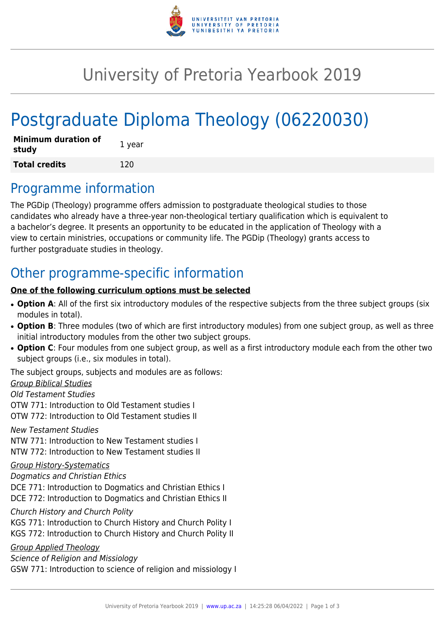

## University of Pretoria Yearbook 2019

# Postgraduate Diploma Theology (06220030)

| <b>Minimum duration of</b><br>study | 1 year |
|-------------------------------------|--------|
| <b>Total credits</b>                | 120    |

### Programme information

The PGDip (Theology) programme offers admission to postgraduate theological studies to those candidates who already have a three-year non-theological tertiary qualification which is equivalent to a bachelor's degree. It presents an opportunity to be educated in the application of Theology with a view to certain ministries, occupations or community life. The PGDip (Theology) grants access to further postgraduate studies in theology.

### Other programme-specific information

#### **One of the following curriculum options must be selected**

- Option A: All of the first six introductory modules of the respective subjects from the three subject groups (six modules in total).
- Option B: Three modules (two of which are first introductory modules) from one subject group, as well as three initial introductory modules from the other two subject groups.
- Option C: Four modules from one subject group, as well as a first introductory module each from the other two subject groups (i.e., six modules in total).

The subject groups, subjects and modules are as follows:

Group Biblical Studies

Old Testament Studies

OTW 771: Introduction to Old Testament studies I OTW 772: Introduction to Old Testament studies II

New Testament Studies

NTW 771: Introduction to New Testament studies I NTW 772: Introduction to New Testament studies II

#### Group History-Systematics

Dogmatics and Christian Ethics DCE 771: Introduction to Dogmatics and Christian Ethics I DCE 772: Introduction to Dogmatics and Christian Ethics II

Church History and Church Polity

KGS 771: Introduction to Church History and Church Polity I

KGS 772: Introduction to Church History and Church Polity II

Group Applied Theology

Science of Religion and Missiology GSW 771: Introduction to science of religion and missiology I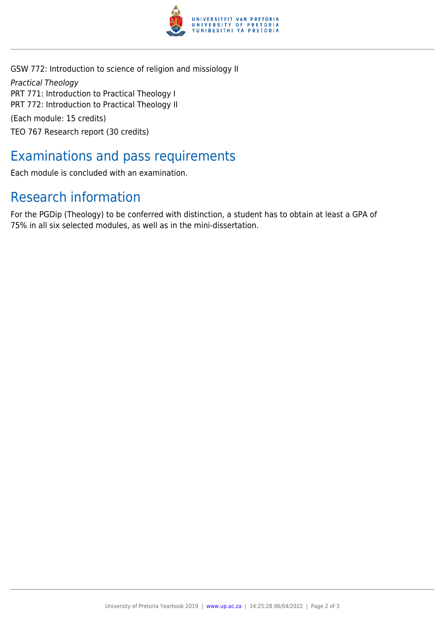

GSW 772: Introduction to science of religion and missiology II Practical Theology PRT 771: Introduction to Practical Theology I PRT 772: Introduction to Practical Theology II (Each module: 15 credits) TEO 767 Research report (30 credits)

### Examinations and pass requirements

Each module is concluded with an examination.

### Research information

For the PGDip (Theology) to be conferred with distinction, a student has to obtain at least a GPA of 75% in all six selected modules, as well as in the mini-dissertation.